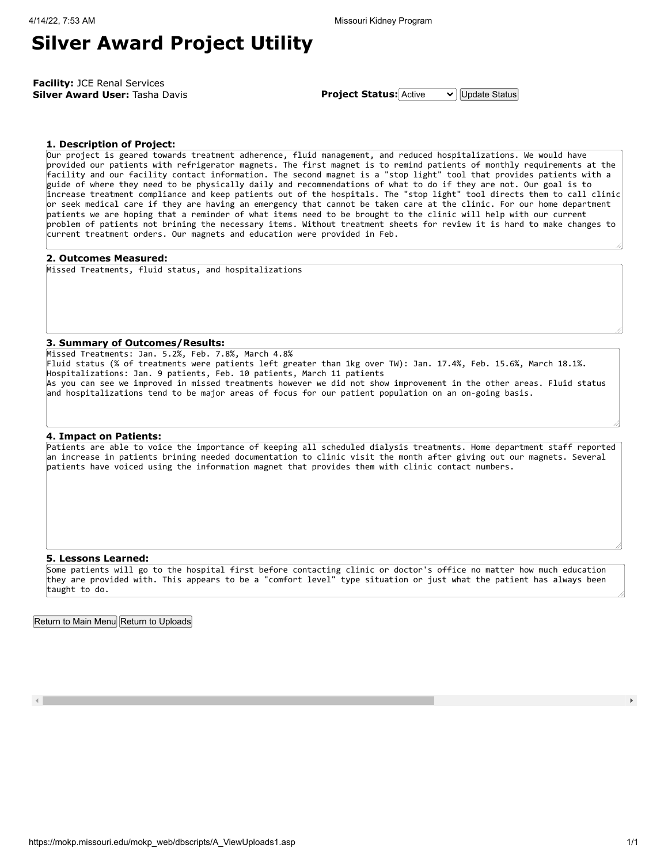### **Silver Award Project Utility**

**Facility:** JCE Renal Services **Silver Award User:** Tasha Davis **Project Status:** Active v Update Status

**1. Description of Project:**

Our project is geared towards treatment adherence, fluid management, and reduced hospitalizations. We would have provided our patients with refrigerator magnets. The first magnet is to remind patients of monthly requirements at the facility and our facility contact information. The second magnet is a "stop light" tool that provides patients with a guide of where they need to be physically daily and recommendations of what to do if they are not. Our goal is to increase treatment compliance and keep patients out of the hospitals. The "stop light" tool directs them to call clinic or seek medical care if they are having an emergency that cannot be taken care at the clinic. For our home department patients we are hoping that a reminder of what items need to be brought to the clinic will help with our current problem of patients not brining the necessary items. Without treatment sheets for review it is hard to make changes to current treatment orders. Our magnets and education were provided in Feb.

#### **2. Outcomes Measured:**

Missed Treatments, fluid status, and hospitalizations

### **3. Summary of Outcomes/Results:**

Missed Treatments: Jan. 5.2%, Feb. 7.8%, March 4.8% Fluid status (% of treatments were patients left greater than 1kg over TW): Jan. 17.4%, Feb. 15.6%, March 18.1%. Hospitalizations: Jan. 9 patients, Feb. 10 patients, March 11 patients As you can see we improved in missed treatments however we did not show improvement in the other areas. Fluid status and hospitalizations tend to be major areas of focus for our patient population on an on-going basis.

### **4. Impact on Patients:**

Patients are able to voice the importance of keeping all scheduled dialysis treatments. Home department staff reported an increase in patients brining needed documentation to clinic visit the month after giving out our magnets. Several patients have voiced using the information magnet that provides them with clinic contact numbers.

#### **5. Lessons Learned:**

Some patients will go to the hospital first before contacting clinic or doctor's office no matter how much education they are provided with. This appears to be a "comfort level" type situation or just what the patient has always been taught to do.

Return to Main Menu Return to Uploads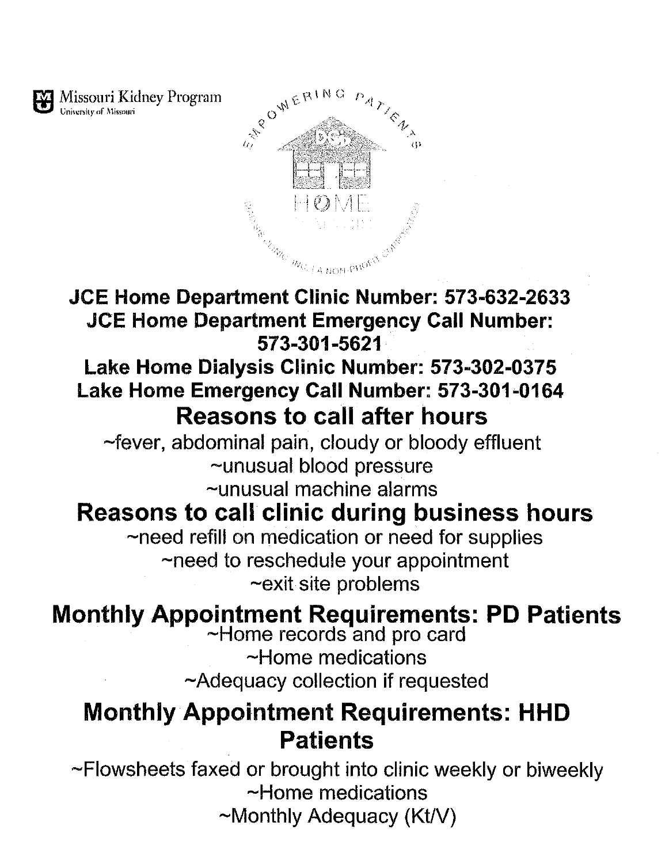

University of Missouri

## JCE Home Department Clinic Number: 573-632-2633 **JCE Home Department Emergency Call Number:** 573-301-5621

## Lake Home Dialysis Clinic Number: 573-302-0375 Lake Home Emergency Call Number: 573-301-0164 **Reasons to call after hours**

~fever, abdominal pain, cloudy or bloody effluent ~unusual blood pressure ~unusual machine alarms

## **Reasons to call clinic during business hours**

~need refill on medication or need for supplies ~need to reschedule your appointment ~exit site problems

# Monthly Appointment Requirements: PD Patients<br>
~Home records and pro card

~Home medications ~Adequacy collection if requested

## **Monthly Appointment Requirements: HHD Patients**

~Flowsheets faxed or brought into clinic weekly or biweekly ~Home medications  $\sim$ Monthly Adequacy (Kt/V)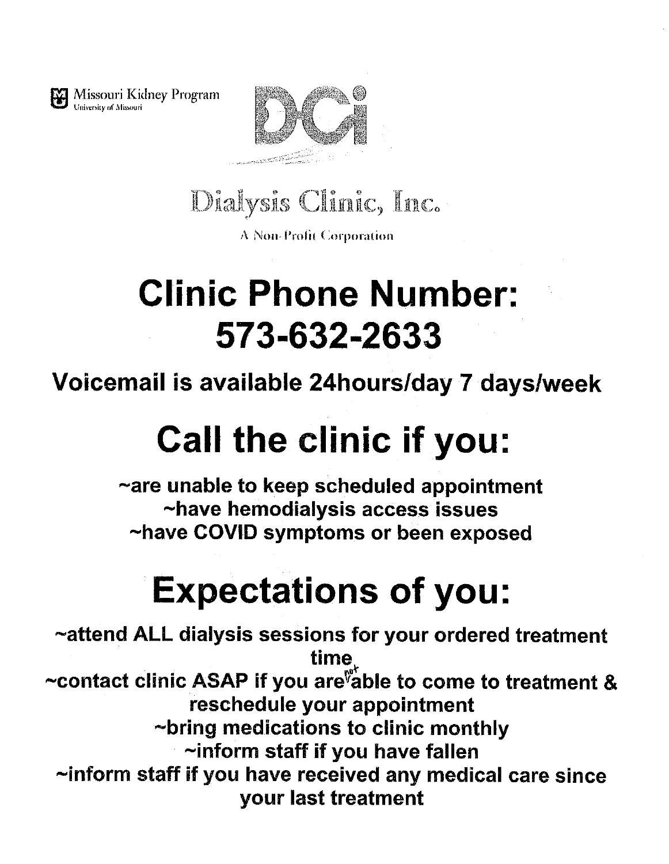

Missouri Kidney Program University of Missouri



Dialysis Clinic, Inc.

**A Non-Profit Corporation** 

# **Clinic Phone Number:** 573-632-2633

Voicemail is available 24hours/day 7 days/week

# **Call the clinic if you:**

~are unable to keep scheduled appointment ~have hemodialysis access issues ~have COVID symptoms or been exposed

# **Expectations of you:**

~attend ALL dialysis sessions for your ordered treatment time. ~contact clinic ASAP if you are able to come to treatment & reschedule your appointment ~bring medications to clinic monthly ~inform staff if you have fallen ~inform staff if you have received any medical care since your last treatment